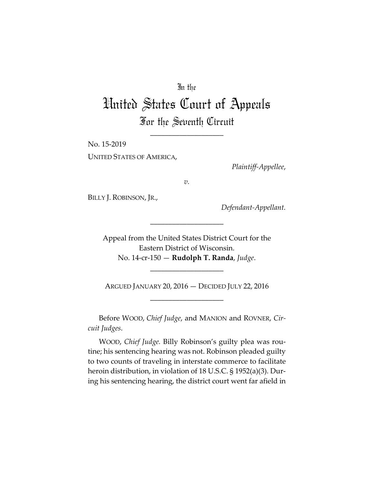## In the

## United States Court of Appeals For the Seventh Circuit

\_\_\_\_\_\_\_\_\_\_\_\_\_\_\_\_\_\_\_\_

No. 15-2019 UNITED STATES OF AMERICA,

*Plaintiff-Appellee*,

*v.*

BILLY J. ROBINSON, JR.,

*Defendant-Appellant.*

Appeal from the United States District Court for the Eastern District of Wisconsin. No. 14-cr-150 — **Rudolph T. Randa**, *Judge*.

\_\_\_\_\_\_\_\_\_\_\_\_\_\_\_\_\_\_\_\_

ARGUED JANUARY 20, 2016 — DECIDED JULY 22, 2016 \_\_\_\_\_\_\_\_\_\_\_\_\_\_\_\_\_\_\_\_

\_\_\_\_\_\_\_\_\_\_\_\_\_\_\_\_\_\_\_\_

Before WOOD, *Chief Judge*, and MANION and ROVNER, *Circuit Judges*.

WOOD, *Chief Judge.* Billy Robinson's guilty plea was routine; his sentencing hearing was not. Robinson pleaded guilty to two counts of traveling in interstate commerce to facilitate heroin distribution, in violation of 18 U.S.C. § 1952(a)(3). During his sentencing hearing, the district court went far afield in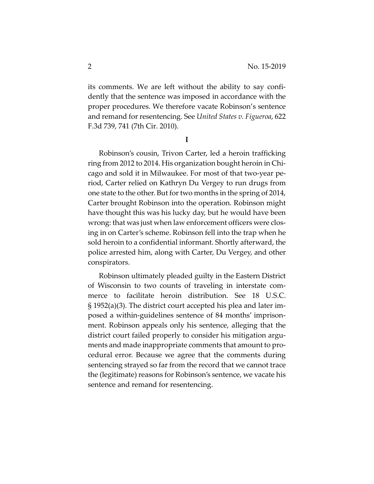its comments. We are left without the ability to say confidently that the sentence was imposed in accordance with the proper procedures. We therefore vacate Robinson's sentence and remand for resentencing. See *United States v. Figueroa*, 622 F.3d 739, 741 (7th Cir. 2010).

**I**

Robinson's cousin, Trivon Carter, led a heroin trafficking ring from 2012 to 2014. His organization bought heroin in Chicago and sold it in Milwaukee. For most of that two-year period, Carter relied on Kathryn Du Vergey to run drugs from one state to the other. But for two months in the spring of 2014, Carter brought Robinson into the operation. Robinson might have thought this was his lucky day, but he would have been wrong: that was just when law enforcement officers were closing in on Carter's scheme. Robinson fell into the trap when he sold heroin to a confidential informant. Shortly afterward, the police arrested him, along with Carter, Du Vergey, and other conspirators.

Robinson ultimately pleaded guilty in the Eastern District of Wisconsin to two counts of traveling in interstate commerce to facilitate heroin distribution. See 18 U.S.C. § 1952(a)(3). The district court accepted his plea and later imposed a within-guidelines sentence of 84 months' imprisonment. Robinson appeals only his sentence, alleging that the district court failed properly to consider his mitigation arguments and made inappropriate comments that amount to procedural error. Because we agree that the comments during sentencing strayed so far from the record that we cannot trace the (legitimate) reasons for Robinson's sentence, we vacate his sentence and remand for resentencing.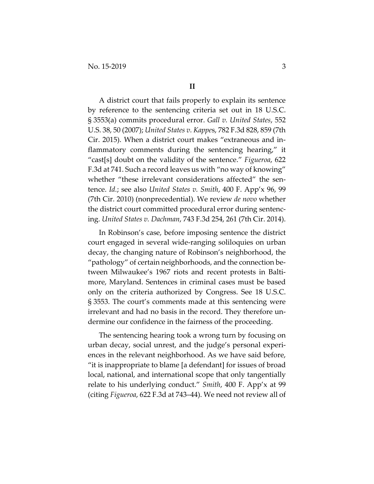A district court that fails properly to explain its sentence by reference to the sentencing criteria set out in 18 U.S.C. § 3553(a) commits procedural error. *Gall v. United States*, 552 U.S. 38, 50 (2007); *United States v. Kappe*s, 782 F.3d 828, 859 (7th Cir. 2015). When a district court makes "extraneous and inflammatory comments during the sentencing hearing," it "cast[s] doubt on the validity of the sentence." *Figueroa*, 622 F.3d at 741. Such a record leaves us with "no way of knowing" whether "these irrelevant considerations affected" the sentence. *Id.*; see also *United States v. Smith*, 400 F. App'x 96, 99 (7th Cir. 2010) (nonprecedential). We review *de novo* whether the district court committed procedural error during sentencing. *United States v. Dachman*, 743 F.3d 254, 261 (7th Cir. 2014).

In Robinson's case, before imposing sentence the district court engaged in several wide-ranging soliloquies on urban decay, the changing nature of Robinson's neighborhood, the "pathology" of certain neighborhoods, and the connection between Milwaukee's 1967 riots and recent protests in Baltimore, Maryland. Sentences in criminal cases must be based only on the criteria authorized by Congress. See 18 U.S.C. § 3553. The court's comments made at this sentencing were irrelevant and had no basis in the record. They therefore undermine our confidence in the fairness of the proceeding.

The sentencing hearing took a wrong turn by focusing on urban decay, social unrest, and the judge's personal experiences in the relevant neighborhood. As we have said before, "it is inappropriate to blame [a defendant] for issues of broad local, national, and international scope that only tangentially relate to his underlying conduct." *Smith*, 400 F. App'x at 99 (citing *Figueroa*, 622 F.3d at 743–44). We need not review all of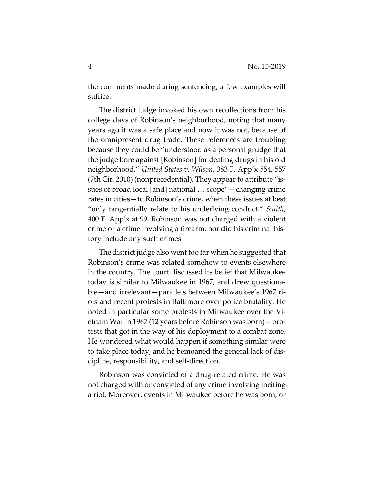the comments made during sentencing; a few examples will suffice.

The district judge invoked his own recollections from his college days of Robinson's neighborhood, noting that many years ago it was a safe place and now it was not, because of the omnipresent drug trade. These references are troubling because they could be "understood as a personal grudge that the judge bore against [Robinson] for dealing drugs in his old neighborhood." *United States v. Wilson*, 383 F. App'x 554, 557 (7th Cir. 2010) (nonprecedential). They appear to attribute "issues of broad local [and] national … scope"—changing crime rates in cities—to Robinson's crime, when these issues at best "only tangentially relate to his underlying conduct." *Smith*, 400 F. App'x at 99. Robinson was not charged with a violent crime or a crime involving a firearm, nor did his criminal history include any such crimes.

The district judge also went too far when he suggested that Robinson's crime was related somehow to events elsewhere in the country. The court discussed its belief that Milwaukee today is similar to Milwaukee in 1967, and drew questionable—and irrelevant—parallels between Milwaukee's 1967 riots and recent protests in Baltimore over police brutality. He noted in particular some protests in Milwaukee over the Vietnam War in 1967 (12 years before Robinson was born)—protests that got in the way of his deployment to a combat zone. He wondered what would happen if something similar were to take place today, and he bemoaned the general lack of discipline, responsibility, and self-direction.

Robinson was convicted of a drug-related crime. He was not charged with or convicted of any crime involving inciting a riot. Moreover, events in Milwaukee before he was born, or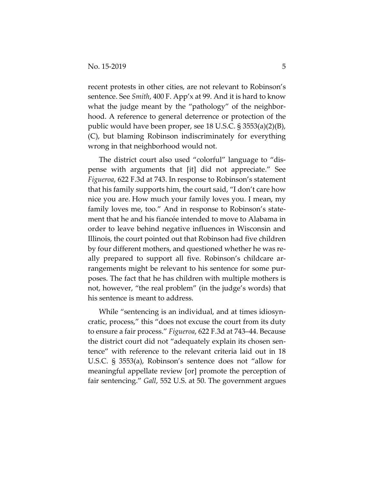recent protests in other cities, are not relevant to Robinson's sentence. See *Smith*, 400 F. App'x at 99. And it is hard to know what the judge meant by the "pathology" of the neighborhood. A reference to general deterrence or protection of the public would have been proper, see 18 U.S.C. § 3553(a)(2)(B), (C), but blaming Robinson indiscriminately for everything wrong in that neighborhood would not.

The district court also used "colorful" language to "dispense with arguments that [it] did not appreciate." See *Figueroa*, 622 F.3d at 743. In response to Robinson's statement that his family supports him, the court said, "I don't care how nice you are. How much your family loves you. I mean, my family loves me, too." And in response to Robinson's statement that he and his fiancée intended to move to Alabama in order to leave behind negative influences in Wisconsin and Illinois, the court pointed out that Robinson had five children by four different mothers, and questioned whether he was really prepared to support all five. Robinson's childcare arrangements might be relevant to his sentence for some purposes. The fact that he has children with multiple mothers is not, however, "the real problem" (in the judge's words) that his sentence is meant to address.

While "sentencing is an individual, and at times idiosyncratic, process," this "does not excuse the court from its duty to ensure a fair process." *Figueroa*, 622 F.3d at 743–44. Because the district court did not "adequately explain its chosen sentence" with reference to the relevant criteria laid out in 18 U.S.C. § 3553(a), Robinson's sentence does not "allow for meaningful appellate review [or] promote the perception of fair sentencing." *Gall*, 552 U.S. at 50. The government argues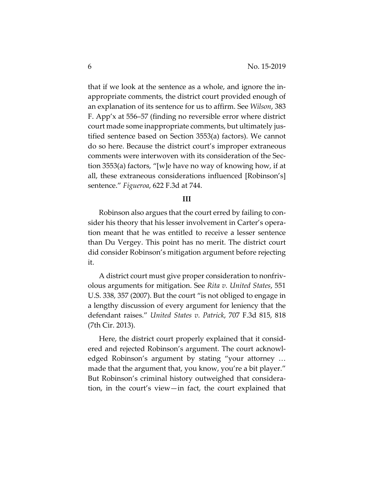that if we look at the sentence as a whole, and ignore the inappropriate comments, the district court provided enough of an explanation of its sentence for us to affirm. See *Wilson*, 383 F. App'x at 556–57 (finding no reversible error where district court made some inappropriate comments, but ultimately justified sentence based on Section 3553(a) factors). We cannot do so here. Because the district court's improper extraneous comments were interwoven with its consideration of the Section 3553(a) factors, "[w]e have no way of knowing how, if at all, these extraneous considerations influenced [Robinson's] sentence." *Figueroa*, 622 F.3d at 744.

## **III**

Robinson also argues that the court erred by failing to consider his theory that his lesser involvement in Carter's operation meant that he was entitled to receive a lesser sentence than Du Vergey. This point has no merit. The district court did consider Robinson's mitigation argument before rejecting it.

A district court must give proper consideration to nonfrivolous arguments for mitigation. See *Rita v. United States*, 551 U.S. 338, 357 (2007). But the court "is not obliged to engage in a lengthy discussion of every argument for leniency that the defendant raises." *United States v. Patrick*, 707 F.3d 815, 818 (7th Cir. 2013).

Here, the district court properly explained that it considered and rejected Robinson's argument. The court acknowledged Robinson's argument by stating "your attorney … made that the argument that, you know, you're a bit player." But Robinson's criminal history outweighed that consideration, in the court's view—in fact, the court explained that